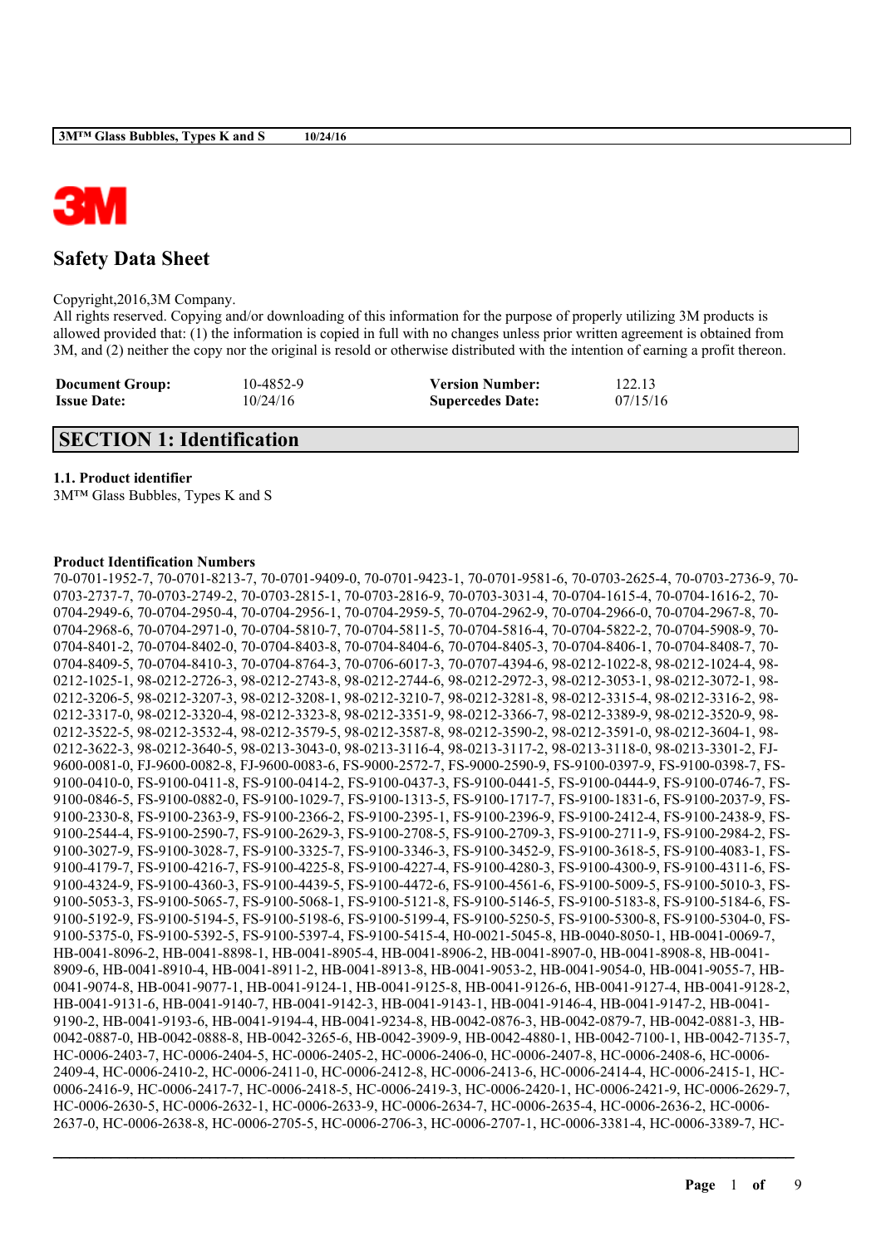

# **Safety Data Sheet**

Copyright,2016,3M Company.

All rights reserved. Copying and/or downloading of this information for the purpose of properly utilizing 3M products is allowed provided that: (1) the information is copied in full with no changes unless prior written agreement is obtained from 3M, and (2) neither the copy nor the original is resold or otherwise distributed with the intention of earning a profit thereon.

| <b>Document Group:</b> | 10-4852-9 | <b>Version Number:</b>  | 122.13   |
|------------------------|-----------|-------------------------|----------|
| <b>Issue Date:</b>     | 10/24/16  | <b>Supercedes Date:</b> | 07/15/16 |

## **SECTION 1: Identification**

## **1.1. Product identifier**

3M™ Glass Bubbles, Types K and S

## **Product Identification Numbers**

70-0701-1952-7, 70-0701-8213-7, 70-0701-9409-0, 70-0701-9423-1, 70-0701-9581-6, 70-0703-2625-4, 70-0703-2736-9, 70- 0703-2737-7, 70-0703-2749-2, 70-0703-2815-1, 70-0703-2816-9, 70-0703-3031-4, 70-0704-1615-4, 70-0704-1616-2, 70- 0704-2949-6, 70-0704-2950-4, 70-0704-2956-1, 70-0704-2959-5, 70-0704-2962-9, 70-0704-2966-0, 70-0704-2967-8, 70- 0704-2968-6, 70-0704-2971-0, 70-0704-5810-7, 70-0704-5811-5, 70-0704-5816-4, 70-0704-5822-2, 70-0704-5908-9, 70- 0704-8401-2, 70-0704-8402-0, 70-0704-8403-8, 70-0704-8404-6, 70-0704-8405-3, 70-0704-8406-1, 70-0704-8408-7, 70- 0704-8409-5, 70-0704-8410-3, 70-0704-8764-3, 70-0706-6017-3, 70-0707-4394-6, 98-0212-1022-8, 98-0212-1024-4, 98- 0212-1025-1, 98-0212-2726-3, 98-0212-2743-8, 98-0212-2744-6, 98-0212-2972-3, 98-0212-3053-1, 98-0212-3072-1, 98- 0212-3206-5, 98-0212-3207-3, 98-0212-3208-1, 98-0212-3210-7, 98-0212-3281-8, 98-0212-3315-4, 98-0212-3316-2, 98- 0212-3317-0, 98-0212-3320-4, 98-0212-3323-8, 98-0212-3351-9, 98-0212-3366-7, 98-0212-3389-9, 98-0212-3520-9, 98- 0212-3522-5, 98-0212-3532-4, 98-0212-3579-5, 98-0212-3587-8, 98-0212-3590-2, 98-0212-3591-0, 98-0212-3604-1, 98- 0212-3622-3, 98-0212-3640-5, 98-0213-3043-0, 98-0213-3116-4, 98-0213-3117-2, 98-0213-3118-0, 98-0213-3301-2, FJ-9600-0081-0, FJ-9600-0082-8, FJ-9600-0083-6, FS-9000-2572-7, FS-9000-2590-9, FS-9100-0397-9, FS-9100-0398-7, FS-9100-0410-0, FS-9100-0411-8, FS-9100-0414-2, FS-9100-0437-3, FS-9100-0441-5, FS-9100-0444-9, FS-9100-0746-7, FS-9100-0846-5, FS-9100-0882-0, FS-9100-1029-7, FS-9100-1313-5, FS-9100-1717-7, FS-9100-1831-6, FS-9100-2037-9, FS-9100-2330-8, FS-9100-2363-9, FS-9100-2366-2, FS-9100-2395-1, FS-9100-2396-9, FS-9100-2412-4, FS-9100-2438-9, FS-9100-2544-4, FS-9100-2590-7, FS-9100-2629-3, FS-9100-2708-5, FS-9100-2709-3, FS-9100-2711-9, FS-9100-2984-2, FS-9100-3027-9, FS-9100-3028-7, FS-9100-3325-7, FS-9100-3346-3, FS-9100-3452-9, FS-9100-3618-5, FS-9100-4083-1, FS-9100-4179-7, FS-9100-4216-7, FS-9100-4225-8, FS-9100-4227-4, FS-9100-4280-3, FS-9100-4300-9, FS-9100-4311-6, FS-9100-4324-9, FS-9100-4360-3, FS-9100-4439-5, FS-9100-4472-6, FS-9100-4561-6, FS-9100-5009-5, FS-9100-5010-3, FS-9100-5053-3, FS-9100-5065-7, FS-9100-5068-1, FS-9100-5121-8, FS-9100-5146-5, FS-9100-5183-8, FS-9100-5184-6, FS-9100-5192-9, FS-9100-5194-5, FS-9100-5198-6, FS-9100-5199-4, FS-9100-5250-5, FS-9100-5300-8, FS-9100-5304-0, FS-9100-5375-0, FS-9100-5392-5, FS-9100-5397-4, FS-9100-5415-4, H0-0021-5045-8, HB-0040-8050-1, HB-0041-0069-7, HB-0041-8096-2, HB-0041-8898-1, HB-0041-8905-4, HB-0041-8906-2, HB-0041-8907-0, HB-0041-8908-8, HB-0041- 8909-6, HB-0041-8910-4, HB-0041-8911-2, HB-0041-8913-8, HB-0041-9053-2, HB-0041-9054-0, HB-0041-9055-7, HB-0041-9074-8, HB-0041-9077-1, HB-0041-9124-1, HB-0041-9125-8, HB-0041-9126-6, HB-0041-9127-4, HB-0041-9128-2, HB-0041-9131-6, HB-0041-9140-7, HB-0041-9142-3, HB-0041-9143-1, HB-0041-9146-4, HB-0041-9147-2, HB-0041- 9190-2, HB-0041-9193-6, HB-0041-9194-4, HB-0041-9234-8, HB-0042-0876-3, HB-0042-0879-7, HB-0042-0881-3, HB-0042-0887-0, HB-0042-0888-8, HB-0042-3265-6, HB-0042-3909-9, HB-0042-4880-1, HB-0042-7100-1, HB-0042-7135-7, HC-0006-2403-7, HC-0006-2404-5, HC-0006-2405-2, HC-0006-2406-0, HC-0006-2407-8, HC-0006-2408-6, HC-0006- 2409-4, HC-0006-2410-2, HC-0006-2411-0, HC-0006-2412-8, HC-0006-2413-6, HC-0006-2414-4, HC-0006-2415-1, HC-0006-2416-9, HC-0006-2417-7, HC-0006-2418-5, HC-0006-2419-3, HC-0006-2420-1, HC-0006-2421-9, HC-0006-2629-7, HC-0006-2630-5, HC-0006-2632-1, HC-0006-2633-9, HC-0006-2634-7, HC-0006-2635-4, HC-0006-2636-2, HC-0006- 2637-0, HC-0006-2638-8, HC-0006-2705-5, HC-0006-2706-3, HC-0006-2707-1, HC-0006-3381-4, HC-0006-3389-7, HC-

 $\mathcal{L}_\mathcal{L} = \mathcal{L}_\mathcal{L} = \mathcal{L}_\mathcal{L} = \mathcal{L}_\mathcal{L} = \mathcal{L}_\mathcal{L} = \mathcal{L}_\mathcal{L} = \mathcal{L}_\mathcal{L} = \mathcal{L}_\mathcal{L} = \mathcal{L}_\mathcal{L} = \mathcal{L}_\mathcal{L} = \mathcal{L}_\mathcal{L} = \mathcal{L}_\mathcal{L} = \mathcal{L}_\mathcal{L} = \mathcal{L}_\mathcal{L} = \mathcal{L}_\mathcal{L} = \mathcal{L}_\mathcal{L} = \mathcal{L}_\mathcal{L}$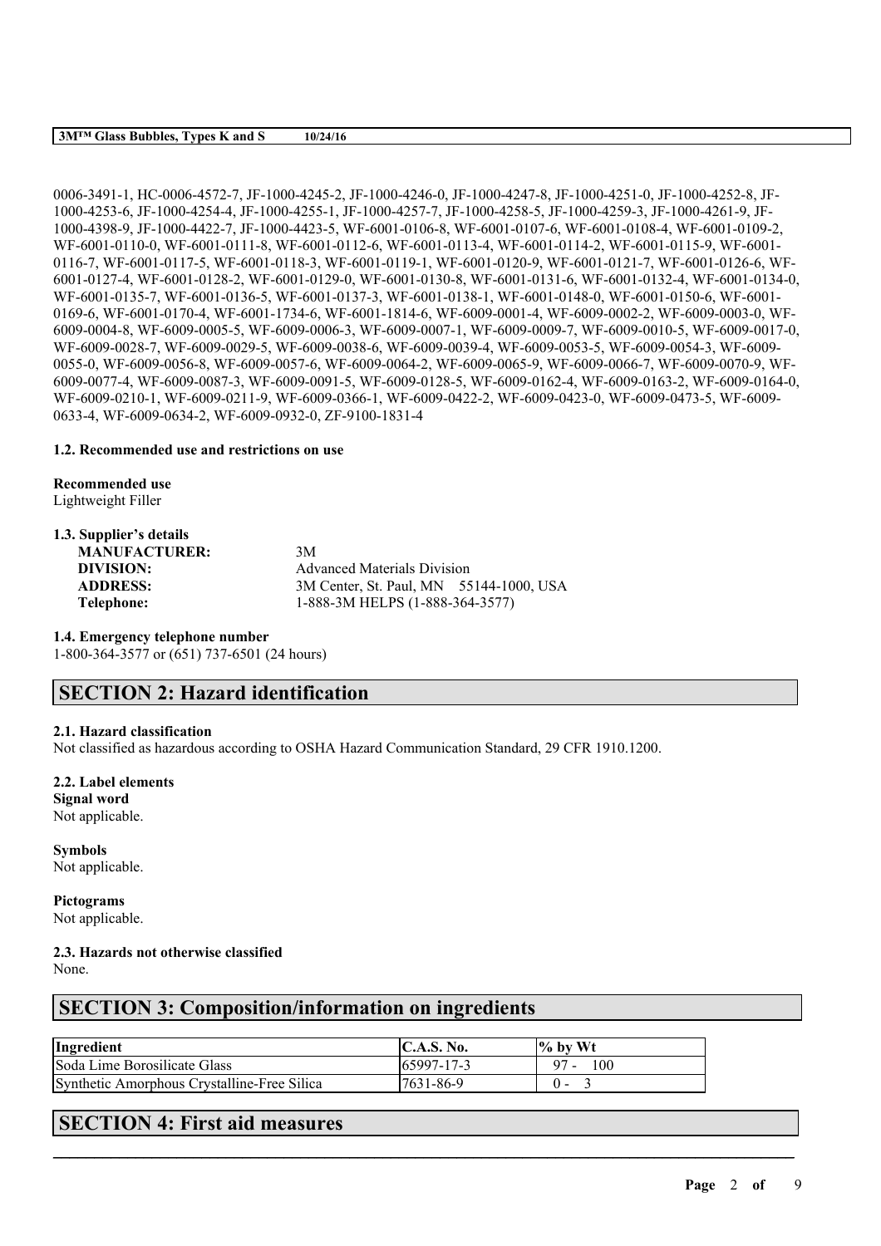### **3M™ Glass Bubbles, Types K and S 10/24/16**

0006-3491-1, HC-0006-4572-7, JF-1000-4245-2, JF-1000-4246-0, JF-1000-4247-8, JF-1000-4251-0, JF-1000-4252-8, JF-1000-4253-6, JF-1000-4254-4, JF-1000-4255-1, JF-1000-4257-7, JF-1000-4258-5, JF-1000-4259-3, JF-1000-4261-9, JF-1000-4398-9, JF-1000-4422-7, JF-1000-4423-5, WF-6001-0106-8, WF-6001-0107-6, WF-6001-0108-4, WF-6001-0109-2, WF-6001-0110-0, WF-6001-0111-8, WF-6001-0112-6, WF-6001-0113-4, WF-6001-0114-2, WF-6001-0115-9, WF-6001- 0116-7, WF-6001-0117-5, WF-6001-0118-3, WF-6001-0119-1, WF-6001-0120-9, WF-6001-0121-7, WF-6001-0126-6, WF-6001-0127-4, WF-6001-0128-2, WF-6001-0129-0, WF-6001-0130-8, WF-6001-0131-6, WF-6001-0132-4, WF-6001-0134-0, WF-6001-0135-7, WF-6001-0136-5, WF-6001-0137-3, WF-6001-0138-1, WF-6001-0148-0, WF-6001-0150-6, WF-6001- 0169-6, WF-6001-0170-4, WF-6001-1734-6, WF-6001-1814-6, WF-6009-0001-4, WF-6009-0002-2, WF-6009-0003-0, WF-6009-0004-8, WF-6009-0005-5, WF-6009-0006-3, WF-6009-0007-1, WF-6009-0009-7, WF-6009-0010-5, WF-6009-0017-0, WF-6009-0028-7, WF-6009-0029-5, WF-6009-0038-6, WF-6009-0039-4, WF-6009-0053-5, WF-6009-0054-3, WF-6009- 0055-0, WF-6009-0056-8, WF-6009-0057-6, WF-6009-0064-2, WF-6009-0065-9, WF-6009-0066-7, WF-6009-0070-9, WF-6009-0077-4, WF-6009-0087-3, WF-6009-0091-5, WF-6009-0128-5, WF-6009-0162-4, WF-6009-0163-2, WF-6009-0164-0, WF-6009-0210-1, WF-6009-0211-9, WF-6009-0366-1, WF-6009-0422-2, WF-6009-0423-0, WF-6009-0473-5, WF-6009- 0633-4, WF-6009-0634-2, WF-6009-0932-0, ZF-9100-1831-4

## **1.2. Recommended use and restrictions on use**

**Recommended use**

Lightweight Filler

## **1.3. Supplier's details**

| <b>MANUFACTURER:</b> | 3M                                      |
|----------------------|-----------------------------------------|
| DIVISION:            | <b>Advanced Materials Division</b>      |
| <b>ADDRESS:</b>      | 3M Center, St. Paul, MN 55144-1000, USA |
| Telephone:           | 1-888-3M HELPS (1-888-364-3577)         |

### **1.4. Emergency telephone number**

1-800-364-3577 or (651) 737-6501 (24 hours)

# **SECTION 2: Hazard identification**

## **2.1. Hazard classification**

Not classified as hazardous according to OSHA Hazard Communication Standard, 29 CFR 1910.1200.

## **2.2. Label elements**

**Signal word** Not applicable.

**Symbols** Not applicable.

**Pictograms** Not applicable.

## **2.3. Hazards not otherwise classified**

None.

# **SECTION 3: Composition/information on ingredients**

| Ingredient                                  | <b>C.A.S. No.</b> | $\%$ by Wt    |
|---------------------------------------------|-------------------|---------------|
| Soda Lime Borosilicate Glass                | $165997 - 17 - 3$ | 100<br>$97 -$ |
| Synthetic Amorphous Crystalline-Free Silica | 7631-86-9         |               |

 $\mathcal{L}_\mathcal{L} = \mathcal{L}_\mathcal{L} = \mathcal{L}_\mathcal{L} = \mathcal{L}_\mathcal{L} = \mathcal{L}_\mathcal{L} = \mathcal{L}_\mathcal{L} = \mathcal{L}_\mathcal{L} = \mathcal{L}_\mathcal{L} = \mathcal{L}_\mathcal{L} = \mathcal{L}_\mathcal{L} = \mathcal{L}_\mathcal{L} = \mathcal{L}_\mathcal{L} = \mathcal{L}_\mathcal{L} = \mathcal{L}_\mathcal{L} = \mathcal{L}_\mathcal{L} = \mathcal{L}_\mathcal{L} = \mathcal{L}_\mathcal{L}$ 

# **SECTION 4: First aid measures**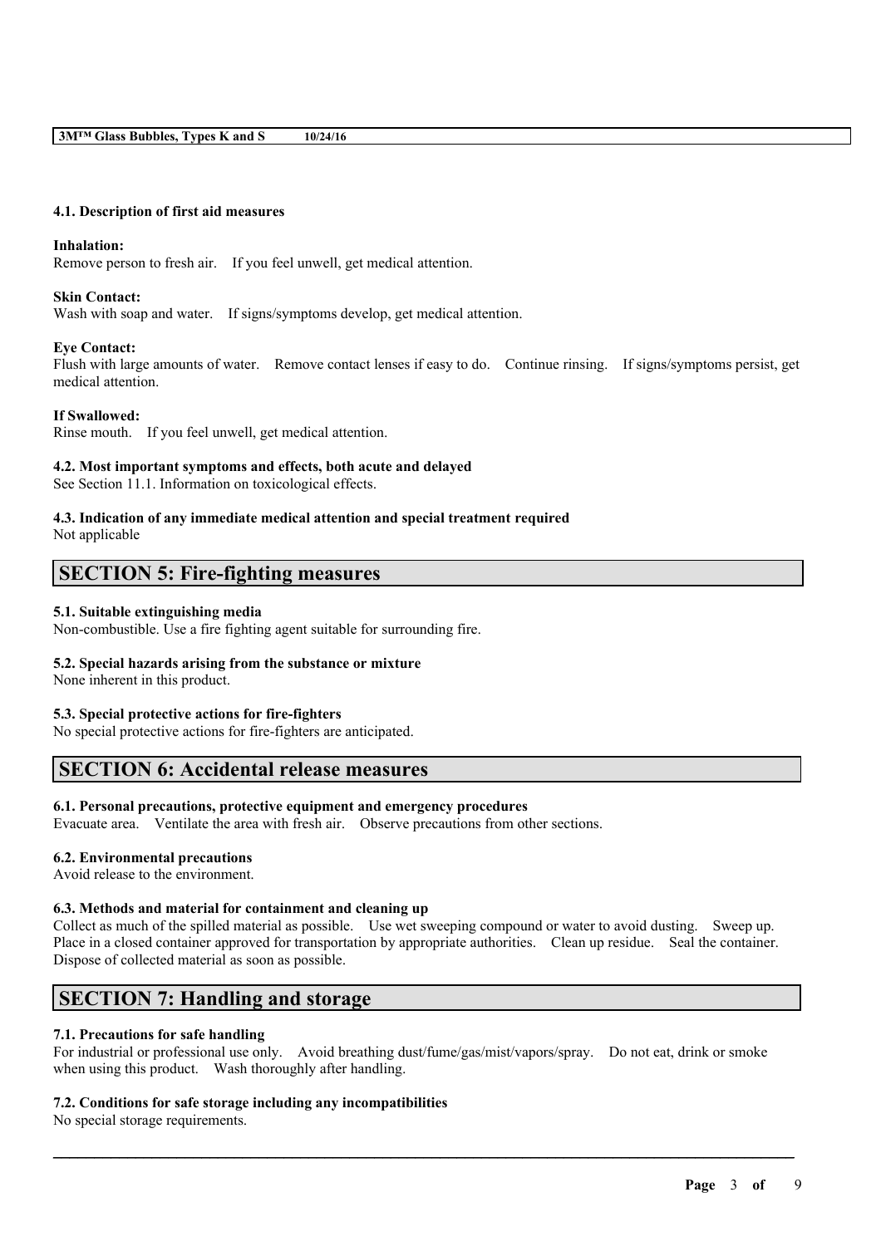### **4.1. Description of first aid measures**

### **Inhalation:**

Remove person to fresh air. If you feel unwell, get medical attention.

### **Skin Contact:**

Wash with soap and water. If signs/symptoms develop, get medical attention.

## **Eye Contact:**

Flush with large amounts of water. Remove contact lenses if easy to do. Continue rinsing. If signs/symptoms persist, get medical attention.

## **If Swallowed:**

Rinse mouth. If you feel unwell, get medical attention.

## **4.2. Most important symptoms and effects, both acute and delayed**

See Section 11.1. Information on toxicological effects.

## **4.3. Indication of any immediate medical attention and special treatment required**

Not applicable

## **SECTION 5: Fire-fighting measures**

## **5.1. Suitable extinguishing media**

Non-combustible. Use a fire fighting agent suitable for surrounding fire.

## **5.2. Special hazards arising from the substance or mixture**

None inherent in this product.

### **5.3. Special protective actions for fire-fighters**

No special protective actions for fire-fighters are anticipated.

## **SECTION 6: Accidental release measures**

### **6.1. Personal precautions, protective equipment and emergency procedures**

Evacuate area. Ventilate the area with fresh air. Observe precautions from other sections.

### **6.2. Environmental precautions**

Avoid release to the environment.

### **6.3. Methods and material for containment and cleaning up**

Collect as much of the spilled material as possible. Use wet sweeping compound or water to avoid dusting. Sweep up. Place in a closed container approved for transportation by appropriate authorities. Clean up residue. Seal the container. Dispose of collected material as soon as possible.

# **SECTION 7: Handling and storage**

## **7.1. Precautions for safe handling**

For industrial or professional use only. Avoid breathing dust/fume/gas/mist/vapors/spray. Do not eat, drink or smoke when using this product. Wash thoroughly after handling.

 $\mathcal{L}_\mathcal{L} = \mathcal{L}_\mathcal{L} = \mathcal{L}_\mathcal{L} = \mathcal{L}_\mathcal{L} = \mathcal{L}_\mathcal{L} = \mathcal{L}_\mathcal{L} = \mathcal{L}_\mathcal{L} = \mathcal{L}_\mathcal{L} = \mathcal{L}_\mathcal{L} = \mathcal{L}_\mathcal{L} = \mathcal{L}_\mathcal{L} = \mathcal{L}_\mathcal{L} = \mathcal{L}_\mathcal{L} = \mathcal{L}_\mathcal{L} = \mathcal{L}_\mathcal{L} = \mathcal{L}_\mathcal{L} = \mathcal{L}_\mathcal{L}$ 

### **7.2. Conditions for safe storage including any incompatibilities**

No special storage requirements.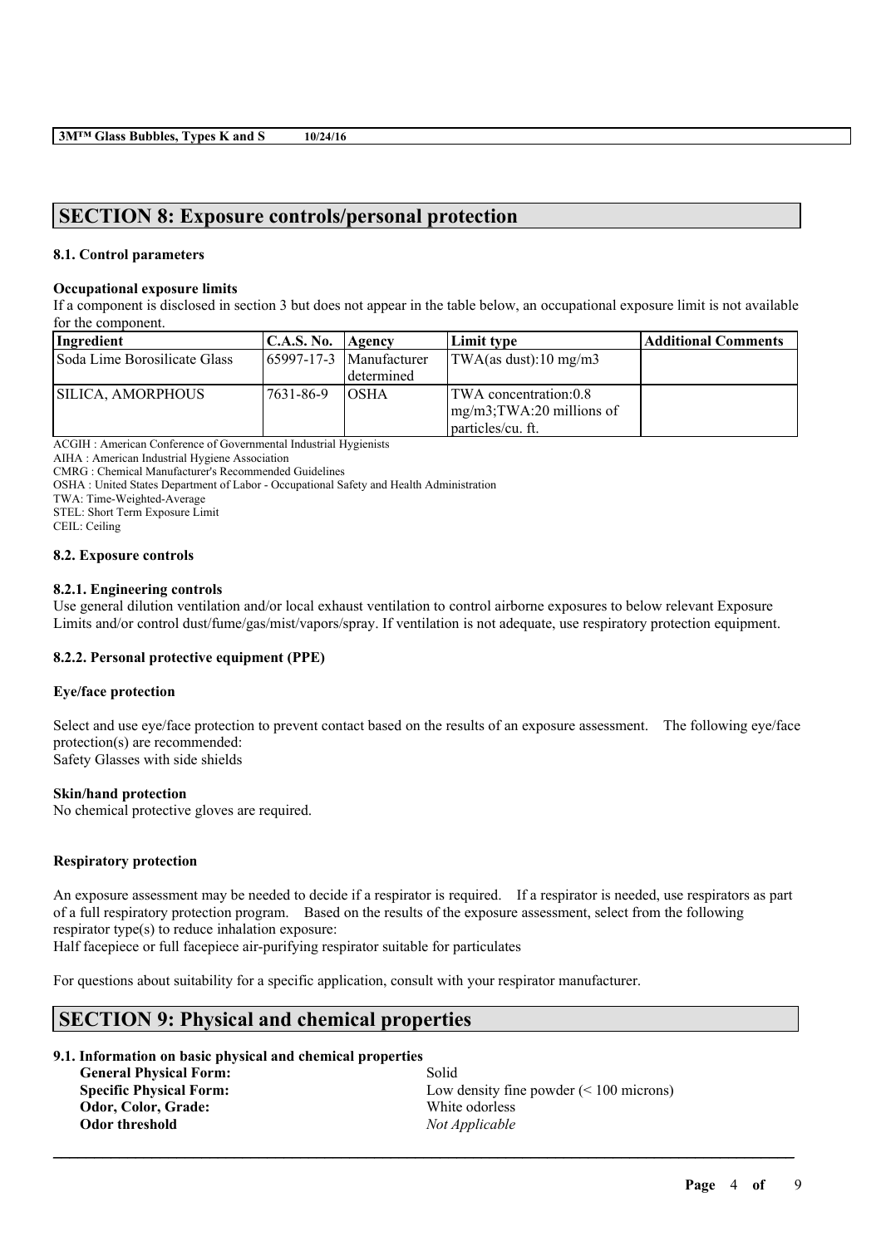## **SECTION 8: Exposure controls/personal protection**

## **8.1. Control parameters**

### **Occupational exposure limits**

If a component is disclosed in section 3 but does not appear in the table below, an occupational exposure limit is not available for the component.

| Ingredient                   | <b>C.A.S. No.</b> | Agency                         | Limit type                    | <b>Additional Comments</b> |
|------------------------------|-------------------|--------------------------------|-------------------------------|----------------------------|
| Soda Lime Borosilicate Glass |                   | $165997 - 17 - 3$ Manufacturer | TWA(as dust):10 mg/m3         |                            |
|                              |                   | l determined                   |                               |                            |
| SILICA, AMORPHOUS            | 17631-86-9        | IOSHA                          | TWA concentration:0.8         |                            |
|                              |                   |                                | $mg/m3$ ; TWA: 20 millions of |                            |
|                              |                   |                                | particles/cu. ft.             |                            |

ACGIH : American Conference of Governmental Industrial Hygienists

AIHA : American Industrial Hygiene Association

CMRG : Chemical Manufacturer's Recommended Guidelines

OSHA : United States Department of Labor - Occupational Safety and Health Administration

TWA: Time-Weighted-Average

STEL: Short Term Exposure Limit

CEIL: Ceiling

### **8.2. Exposure controls**

## **8.2.1. Engineering controls**

Use general dilution ventilation and/or local exhaust ventilation to control airborne exposures to below relevant Exposure Limits and/or control dust/fume/gas/mist/vapors/spray. If ventilation is not adequate, use respiratory protection equipment.

## **8.2.2. Personal protective equipment (PPE)**

## **Eye/face protection**

Select and use eye/face protection to prevent contact based on the results of an exposure assessment. The following eye/face protection(s) are recommended: Safety Glasses with side shields

## **Skin/hand protection**

No chemical protective gloves are required.

### **Respiratory protection**

An exposure assessment may be needed to decide if a respirator is required. If a respirator is needed, use respirators as part of a full respiratory protection program. Based on the results of the exposure assessment, select from the following respirator type(s) to reduce inhalation exposure:

 $\mathcal{L}_\mathcal{L} = \mathcal{L}_\mathcal{L} = \mathcal{L}_\mathcal{L} = \mathcal{L}_\mathcal{L} = \mathcal{L}_\mathcal{L} = \mathcal{L}_\mathcal{L} = \mathcal{L}_\mathcal{L} = \mathcal{L}_\mathcal{L} = \mathcal{L}_\mathcal{L} = \mathcal{L}_\mathcal{L} = \mathcal{L}_\mathcal{L} = \mathcal{L}_\mathcal{L} = \mathcal{L}_\mathcal{L} = \mathcal{L}_\mathcal{L} = \mathcal{L}_\mathcal{L} = \mathcal{L}_\mathcal{L} = \mathcal{L}_\mathcal{L}$ 

Half facepiece or full facepiece air-purifying respirator suitable for particulates

For questions about suitability for a specific application, consult with your respirator manufacturer.

# **SECTION 9: Physical and chemical properties**

## **9.1. Information on basic physical and chemical properties**

**General Physical Form:** Solid **Odor, Color, Grade:** White odorless **Odor threshold** *Not Applicable*

**Specific Physical Form:** Low density fine powder (< 100 microns)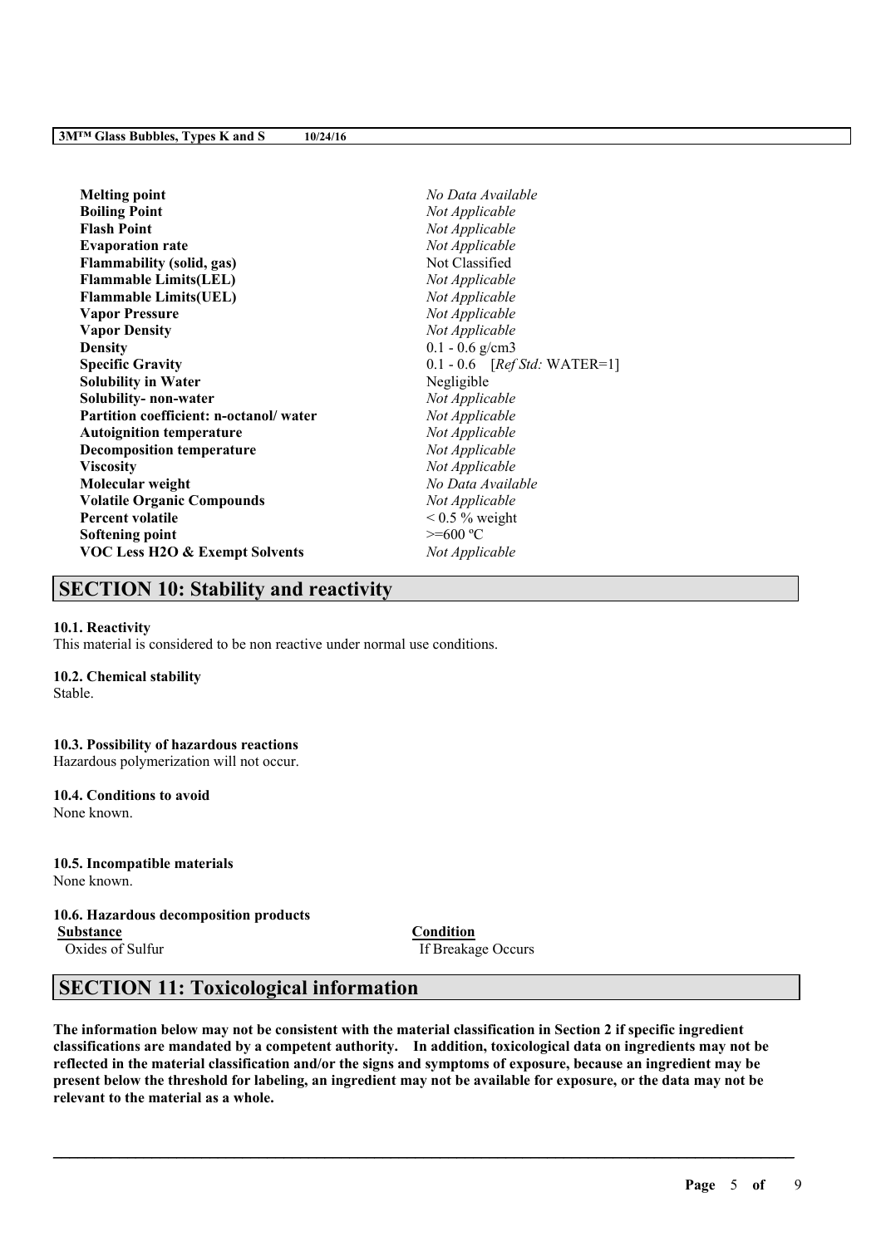| <b>Melting point</b>                      | No Data Available                      |
|-------------------------------------------|----------------------------------------|
| <b>Boiling Point</b>                      | Not Applicable                         |
| <b>Flash Point</b>                        | Not Applicable                         |
| <b>Evaporation rate</b>                   | Not Applicable                         |
| <b>Flammability (solid, gas)</b>          | Not Classified                         |
| <b>Flammable Limits(LEL)</b>              | Not Applicable                         |
| <b>Flammable Limits(UEL)</b>              | Not Applicable                         |
| <b>Vapor Pressure</b>                     | Not Applicable                         |
| <b>Vapor Density</b>                      | Not Applicable                         |
| <b>Density</b>                            | $0.1 - 0.6$ g/cm3                      |
| <b>Specific Gravity</b>                   | $0.1 - 0.6$ [ <i>Ref Std:</i> WATER=1] |
| <b>Solubility in Water</b>                | Negligible                             |
| Solubility-non-water                      | Not Applicable                         |
| Partition coefficient: n-octanol/water    | Not Applicable                         |
| <b>Autoignition temperature</b>           | Not Applicable                         |
| <b>Decomposition temperature</b>          | Not Applicable                         |
| <b>Viscosity</b>                          | Not Applicable                         |
| Molecular weight                          | No Data Available                      |
| <b>Volatile Organic Compounds</b>         | Not Applicable                         |
| <b>Percent volatile</b>                   | $0.5\%$ weight                         |
| Softening point                           | $>= 600 °C$                            |
| <b>VOC Less H2O &amp; Exempt Solvents</b> | Not Applicable                         |
|                                           |                                        |

# **SECTION 10: Stability and reactivity**

### **10.1. Reactivity**

This material is considered to be non reactive under normal use conditions.

### **10.2. Chemical stability**

Stable.

# **10.3. Possibility of hazardous reactions**

Hazardous polymerization will not occur.

#### **10.4. Conditions to avoid** None known.

## **10.5. Incompatible materials** None known.

## **10.6. Hazardous decomposition products**

**Substance Condition**

Oxides of Sulfur If Breakage Occurs

# **SECTION 11: Toxicological information**

The information below may not be consistent with the material classification in Section 2 if specific ingredient **classifications are mandated by a competent authority. In addition, toxicological data on ingredients may not be** reflected in the material classification and/or the signs and symptoms of exposure, because an ingredient may be present below the threshold for labeling, an ingredient may not be available for exposure, or the data may not be **relevant to the material as a whole.**

 $\mathcal{L}_\mathcal{L} = \mathcal{L}_\mathcal{L} = \mathcal{L}_\mathcal{L} = \mathcal{L}_\mathcal{L} = \mathcal{L}_\mathcal{L} = \mathcal{L}_\mathcal{L} = \mathcal{L}_\mathcal{L} = \mathcal{L}_\mathcal{L} = \mathcal{L}_\mathcal{L} = \mathcal{L}_\mathcal{L} = \mathcal{L}_\mathcal{L} = \mathcal{L}_\mathcal{L} = \mathcal{L}_\mathcal{L} = \mathcal{L}_\mathcal{L} = \mathcal{L}_\mathcal{L} = \mathcal{L}_\mathcal{L} = \mathcal{L}_\mathcal{L}$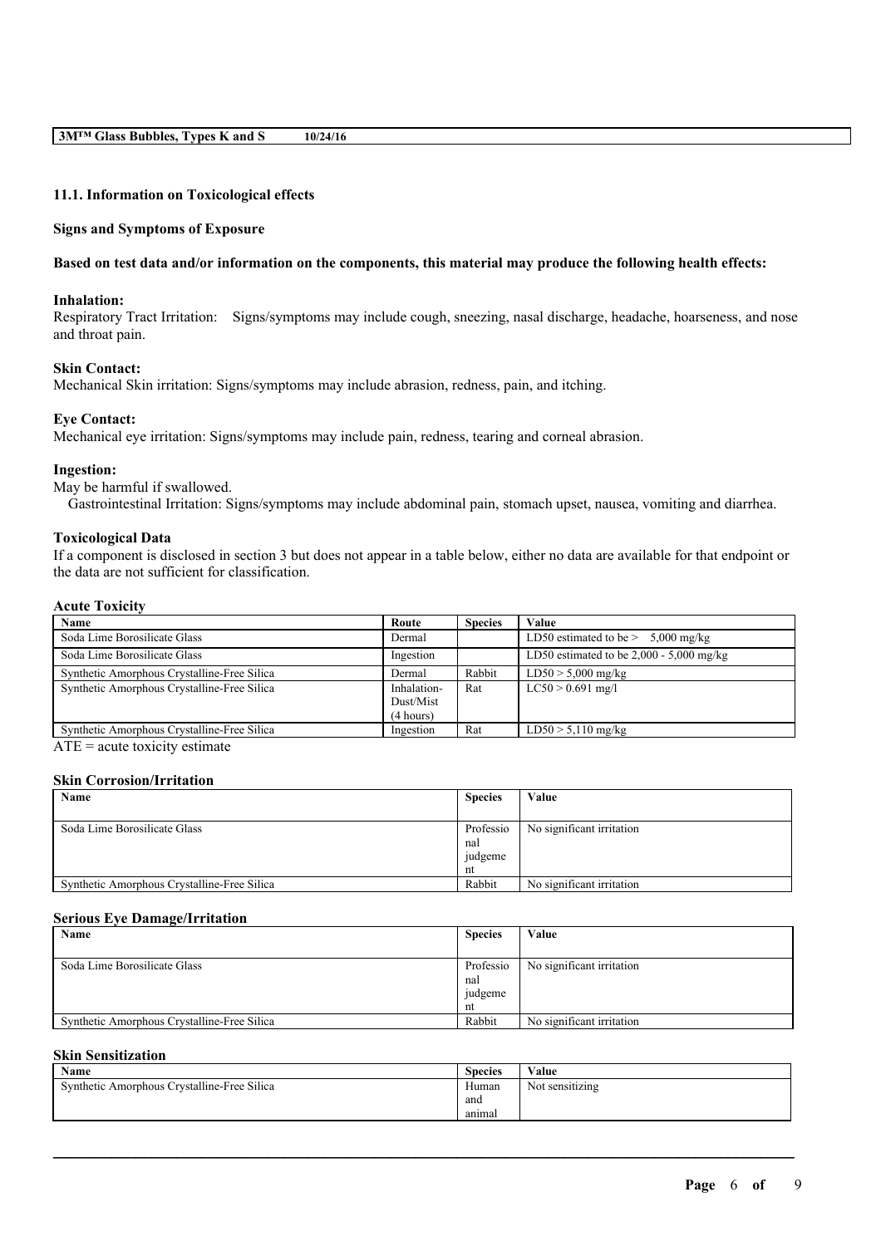## **11.1. Information on Toxicological effects**

### **Signs and Symptoms of Exposure**

## Based on test data and/or information on the components, this material may produce the following health effects:

#### **Inhalation:**

Respiratory Tract Irritation: Signs/symptoms may include cough, sneezing, nasal discharge, headache, hoarseness, and nose and throat pain.

## **Skin Contact:**

Mechanical Skin irritation: Signs/symptoms may include abrasion, redness, pain, and itching.

### **Eye Contact:**

Mechanical eye irritation: Signs/symptoms may include pain, redness, tearing and corneal abrasion.

#### **Ingestion:**

May be harmful if swallowed.

Gastrointestinal Irritation: Signs/symptoms may include abdominal pain, stomach upset, nausea, vomiting and diarrhea.

#### **Toxicological Data**

If a component is disclosed in section 3 but does not appear in a table below, either no data are available for that endpoint or the data are not sufficient for classification.

## **Acute Toxicity**

| Name                                                                                                                                                                                                                                                                                                                   | Route       | <b>Species</b> | Value                                      |
|------------------------------------------------------------------------------------------------------------------------------------------------------------------------------------------------------------------------------------------------------------------------------------------------------------------------|-------------|----------------|--------------------------------------------|
| Soda Lime Borosilicate Glass                                                                                                                                                                                                                                                                                           | Dermal      |                | LD50 estimated to be $> 5,000$ mg/kg       |
| Soda Lime Borosilicate Glass                                                                                                                                                                                                                                                                                           | Ingestion   |                | LD50 estimated to be $2,000 - 5,000$ mg/kg |
| Synthetic Amorphous Crystalline-Free Silica                                                                                                                                                                                                                                                                            | Dermal      | Rabbit         | $LD50 > 5,000$ mg/kg                       |
| Synthetic Amorphous Crystalline-Free Silica                                                                                                                                                                                                                                                                            | Inhalation- | Rat            | $LC50 > 0.691$ mg/l                        |
|                                                                                                                                                                                                                                                                                                                        | Dust/Mist   |                |                                            |
|                                                                                                                                                                                                                                                                                                                        | (4 hours)   |                |                                            |
| Synthetic Amorphous Crystalline-Free Silica                                                                                                                                                                                                                                                                            | Ingestion   | Rat            | $LD50 > 5,110$ mg/kg                       |
| $\overline{a}$ , and $\overline{a}$ , and $\overline{a}$ , and $\overline{a}$ , and $\overline{a}$ , and $\overline{a}$ , and $\overline{a}$ , and $\overline{a}$ , and $\overline{a}$ , and $\overline{a}$ , and $\overline{a}$ , and $\overline{a}$ , and $\overline{a}$ , and $\overline{a}$ , and $\overline{a}$ , |             |                |                                            |

 $ATE = acute$  toxicity estimate

#### **Skin Corrosion/Irritation**

| Name                                        | <b>Species</b> | Value                     |
|---------------------------------------------|----------------|---------------------------|
|                                             |                |                           |
| Soda Lime Borosilicate Glass                | Professio      | No significant irritation |
|                                             | nal            |                           |
|                                             | judgeme        |                           |
|                                             | nt             |                           |
| Synthetic Amorphous Crystalline-Free Silica | Rabbit         | No significant irritation |

#### **Serious Eye Damage/Irritation**

| Name                                        | <b>Species</b>                    | Value                     |
|---------------------------------------------|-----------------------------------|---------------------------|
|                                             |                                   |                           |
| Soda Lime Borosilicate Glass                | Professio<br>nal<br>judgeme<br>nt | No significant irritation |
| Synthetic Amorphous Crystalline-Free Silica | Rabbit                            | No significant irritation |

#### **Skin Sensitization**

| $\mathbf{X}$<br>Name                        | <b>Species</b> | Value                |
|---------------------------------------------|----------------|----------------------|
| Synthetic Amorphous Crystalline-Free Silica | Human          | .<br>Not sensitizing |
|                                             | and            |                      |
|                                             | anımal         |                      |

 $\mathcal{L}_\mathcal{L} = \mathcal{L}_\mathcal{L} = \mathcal{L}_\mathcal{L} = \mathcal{L}_\mathcal{L} = \mathcal{L}_\mathcal{L} = \mathcal{L}_\mathcal{L} = \mathcal{L}_\mathcal{L} = \mathcal{L}_\mathcal{L} = \mathcal{L}_\mathcal{L} = \mathcal{L}_\mathcal{L} = \mathcal{L}_\mathcal{L} = \mathcal{L}_\mathcal{L} = \mathcal{L}_\mathcal{L} = \mathcal{L}_\mathcal{L} = \mathcal{L}_\mathcal{L} = \mathcal{L}_\mathcal{L} = \mathcal{L}_\mathcal{L}$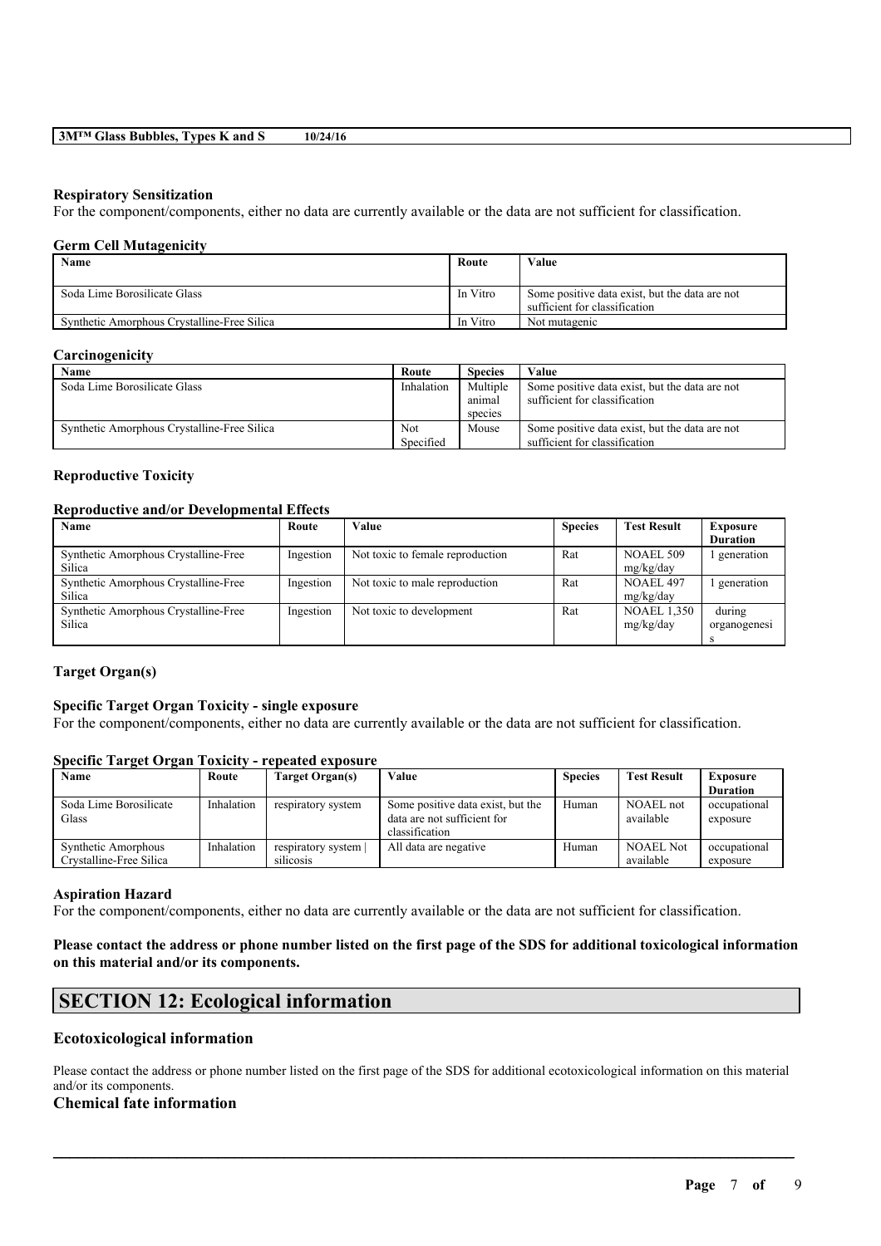## **Respiratory Sensitization**

For the component/components, either no data are currently available or the data are not sufficient for classification.

## **Germ Cell Mutagenicity**

| Name                                        | Route    | Value                                          |
|---------------------------------------------|----------|------------------------------------------------|
|                                             |          |                                                |
| Soda Lime Borosilicate Glass                | In Vitro | Some positive data exist, but the data are not |
|                                             |          | sufficient for classification                  |
| Synthetic Amorphous Crystalline-Free Silica | In Vitro | Not mutagenic                                  |

### **Carcinogenicity**

| Name                                        | Route      | <b>Species</b> | Value                                          |
|---------------------------------------------|------------|----------------|------------------------------------------------|
| Soda Lime Borosilicate Glass                | Inhalation | Multiple       | Some positive data exist, but the data are not |
|                                             |            | anımal         | sufficient for classification                  |
|                                             |            | species        |                                                |
| Synthetic Amorphous Crystalline-Free Silica | Not        | Mouse          | Some positive data exist, but the data are not |
|                                             | Specified  |                | sufficient for classification                  |

## **Reproductive Toxicity**

## **Reproductive and/or Developmental Effects**

| Name                                 | Route     | Value                            | <b>Species</b> | <b>Test Result</b> | <b>Exposure</b> |
|--------------------------------------|-----------|----------------------------------|----------------|--------------------|-----------------|
|                                      |           |                                  |                |                    | <b>Duration</b> |
| Synthetic Amorphous Crystalline-Free | Ingestion | Not toxic to female reproduction | Rat            | <b>NOAEL 509</b>   | generation      |
| Silica                               |           |                                  |                | mg/kg/day          |                 |
| Synthetic Amorphous Crystalline-Free | Ingestion | Not toxic to male reproduction   | Rat            | NOAEL 497          | generation      |
| Silica                               |           |                                  |                | mg/kg/day          |                 |
| Synthetic Amorphous Crystalline-Free | Ingestion | Not toxic to development         | Rat            | <b>NOAEL 1,350</b> | during          |
| Silica                               |           |                                  |                | mg/kg/day          | organogenesi    |
|                                      |           |                                  |                |                    |                 |

## **Target Organ(s)**

### **Specific Target Organ Toxicity - single exposure**

For the component/components, either no data are currently available or the data are not sufficient for classification.

## **Specific Target Organ Toxicity - repeated exposure**

| Name                                           | Route      | Target Organ(s)                 | Value                                                                              | <b>Species</b> | <b>Test Result</b>            | <b>Exposure</b>          |
|------------------------------------------------|------------|---------------------------------|------------------------------------------------------------------------------------|----------------|-------------------------------|--------------------------|
|                                                |            |                                 |                                                                                    |                |                               | <b>Duration</b>          |
| Soda Lime Borosilicate<br>Glass                | Inhalation | respiratory system              | Some positive data exist, but the<br>data are not sufficient for<br>classification | Human          | NOAEL not<br>available        | occupational<br>exposure |
| Synthetic Amorphous<br>Crystalline-Free Silica | Inhalation | respiratory system<br>silicosis | All data are negative                                                              | Human          | <b>NOAEL Not</b><br>available | occupational<br>exposure |

### **Aspiration Hazard**

For the component/components, either no data are currently available or the data are not sufficient for classification.

## Please contact the address or phone number listed on the first page of the SDS for additional toxicological information **on this material and/or its components.**

## **SECTION 12: Ecological information**

## **Ecotoxicological information**

Please contact the address or phone number listed on the first page of the SDS for additional ecotoxicological information on this material and/or its components.

 $\mathcal{L}_\mathcal{L} = \mathcal{L}_\mathcal{L} = \mathcal{L}_\mathcal{L} = \mathcal{L}_\mathcal{L} = \mathcal{L}_\mathcal{L} = \mathcal{L}_\mathcal{L} = \mathcal{L}_\mathcal{L} = \mathcal{L}_\mathcal{L} = \mathcal{L}_\mathcal{L} = \mathcal{L}_\mathcal{L} = \mathcal{L}_\mathcal{L} = \mathcal{L}_\mathcal{L} = \mathcal{L}_\mathcal{L} = \mathcal{L}_\mathcal{L} = \mathcal{L}_\mathcal{L} = \mathcal{L}_\mathcal{L} = \mathcal{L}_\mathcal{L}$ 

## **Chemical fate information**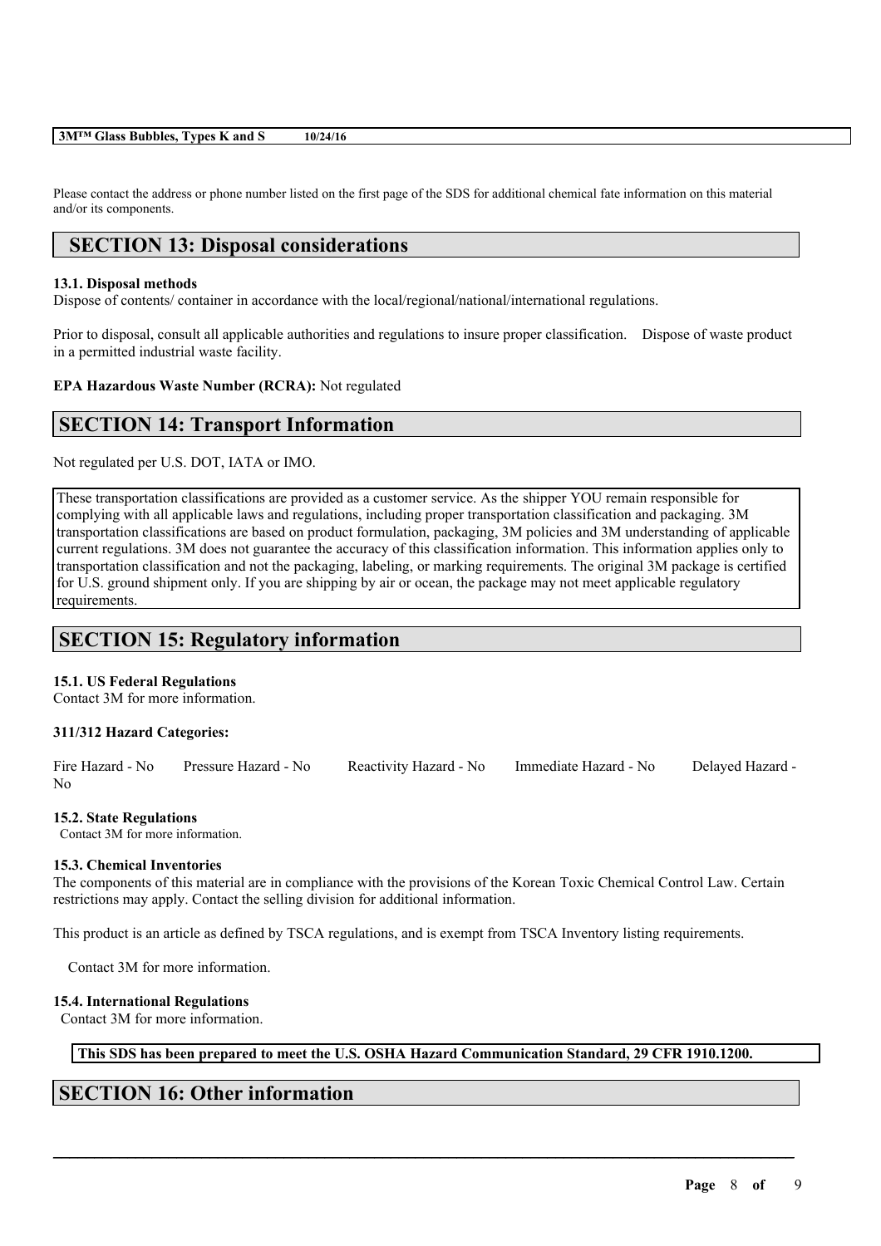### **3M™ Glass Bubbles, Types K and S 10/24/16**

Please contact the address or phone number listed on the first page of the SDS for additional chemical fate information on this material and/or its components.

## **SECTION 13: Disposal considerations**

## **13.1. Disposal methods**

Dispose of contents/ container in accordance with the local/regional/national/international regulations.

Prior to disposal, consult all applicable authorities and regulations to insure proper classification. Dispose of waste product in a permitted industrial waste facility.

## **EPA Hazardous Waste Number (RCRA):** Not regulated

## **SECTION 14: Transport Information**

Not regulated per U.S. DOT, IATA or IMO.

These transportation classifications are provided as a customer service. As the shipper YOU remain responsible for complying with all applicable laws and regulations, including proper transportation classification and packaging. 3M transportation classifications are based on product formulation, packaging, 3M policies and 3M understanding of applicable current regulations. 3M does not guarantee the accuracy of this classification information. This information applies only to transportation classification and not the packaging, labeling, or marking requirements. The original 3M package is certified for U.S. ground shipment only. If you are shipping by air or ocean, the package may not meet applicable regulatory requirements.

# **SECTION 15: Regulatory information**

## **15.1. US Federal Regulations**

Contact 3M for more information.

### **311/312 Hazard Categories:**

Fire Hazard - No Pressure Hazard - No Reactivity Hazard - No Immediate Hazard - No Delayed Hazard - No

### **15.2. State Regulations**

Contact 3M for more information.

## **15.3. Chemical Inventories**

The components of this material are in compliance with the provisions of the Korean Toxic Chemical Control Law. Certain restrictions may apply. Contact the selling division for additional information.

This product is an article as defined by TSCA regulations, and is exempt from TSCA Inventory listing requirements.

Contact 3M for more information.

### **15.4. International Regulations**

Contact 3M for more information.

## **This SDS has been prepared to meet the U.S. OSHA Hazard Communication Standard, 29 CFR 1910.1200.**

 $\mathcal{L}_\mathcal{L} = \mathcal{L}_\mathcal{L} = \mathcal{L}_\mathcal{L} = \mathcal{L}_\mathcal{L} = \mathcal{L}_\mathcal{L} = \mathcal{L}_\mathcal{L} = \mathcal{L}_\mathcal{L} = \mathcal{L}_\mathcal{L} = \mathcal{L}_\mathcal{L} = \mathcal{L}_\mathcal{L} = \mathcal{L}_\mathcal{L} = \mathcal{L}_\mathcal{L} = \mathcal{L}_\mathcal{L} = \mathcal{L}_\mathcal{L} = \mathcal{L}_\mathcal{L} = \mathcal{L}_\mathcal{L} = \mathcal{L}_\mathcal{L}$ 

# **SECTION 16: Other information**